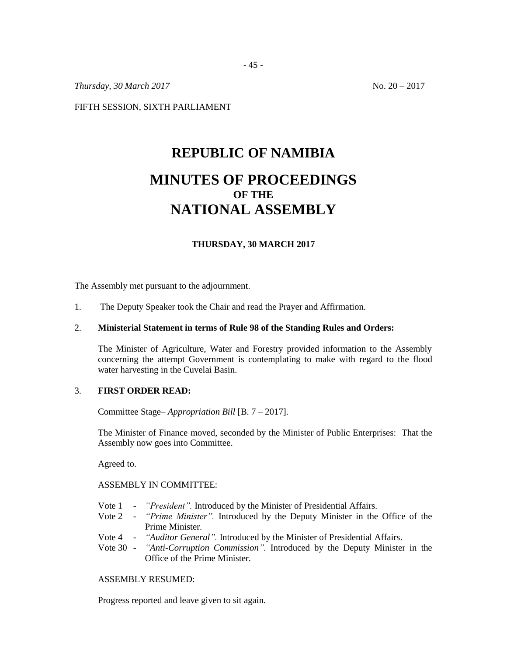*Thursday, 30 March 2017* No. 20 – 2017

FIFTH SESSION, SIXTH PARLIAMENT

# **REPUBLIC OF NAMIBIA MINUTES OF PROCEEDINGS OF THE NATIONAL ASSEMBLY**

# **THURSDAY, 30 MARCH 2017**

The Assembly met pursuant to the adjournment.

1. The Deputy Speaker took the Chair and read the Prayer and Affirmation.

## 2. **Ministerial Statement in terms of Rule 98 of the Standing Rules and Orders:**

The Minister of Agriculture, Water and Forestry provided information to the Assembly concerning the attempt Government is contemplating to make with regard to the flood water harvesting in the Cuvelai Basin.

#### 3. **FIRST ORDER READ:**

Committee Stage– *Appropriation Bill* [B. 7 – 2017].

The Minister of Finance moved, seconded by the Minister of Public Enterprises: That the Assembly now goes into Committee.

Agreed to.

#### ASSEMBLY IN COMMITTEE:

- Vote 1 *"President".* Introduced by the Minister of Presidential Affairs.
- Vote 2 *"Prime Minister".* Introduced by the Deputy Minister in the Office of the Prime Minister.
- Vote 4 *"Auditor General".* Introduced by the Minister of Presidential Affairs.
- Vote 30 *"Anti-Corruption Commission".* Introduced by the Deputy Minister in the Office of the Prime Minister.

### ASSEMBLY RESUMED:

Progress reported and leave given to sit again.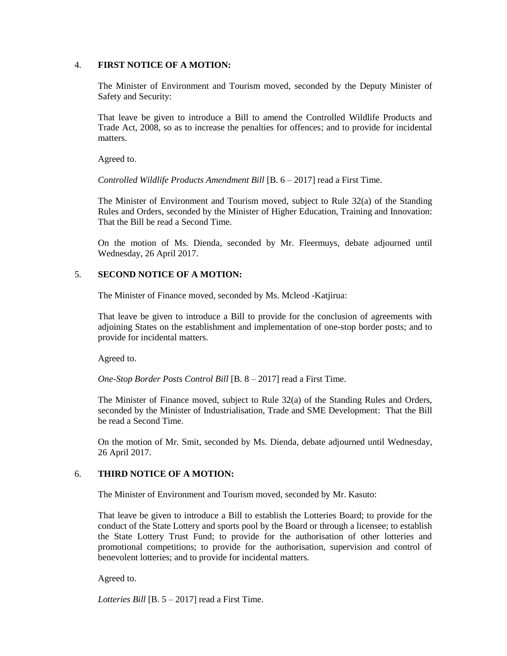### 4. **FIRST NOTICE OF A MOTION:**

The Minister of Environment and Tourism moved, seconded by the Deputy Minister of Safety and Security:

That leave be given to introduce a Bill to amend the Controlled Wildlife Products and Trade Act, 2008, so as to increase the penalties for offences; and to provide for incidental matters.

Agreed to.

*Controlled Wildlife Products Amendment Bill* [B. 6 – 2017] read a First Time.

The Minister of Environment and Tourism moved, subject to Rule 32(a) of the Standing Rules and Orders, seconded by the Minister of Higher Education, Training and Innovation: That the Bill be read a Second Time.

On the motion of Ms. Dienda, seconded by Mr. Fleermuys, debate adjourned until Wednesday, 26 April 2017.

### 5. **SECOND NOTICE OF A MOTION:**

The Minister of Finance moved, seconded by Ms. Mcleod -Katjirua:

That leave be given to introduce a Bill to provide for the conclusion of agreements with adjoining States on the establishment and implementation of one-stop border posts; and to provide for incidental matters.

Agreed to.

*One-Stop Border Posts Control Bill* [B. 8 – 2017] read a First Time.

The Minister of Finance moved, subject to Rule 32(a) of the Standing Rules and Orders, seconded by the Minister of Industrialisation, Trade and SME Development: That the Bill be read a Second Time.

On the motion of Mr. Smit, seconded by Ms. Dienda, debate adjourned until Wednesday, 26 April 2017.

# 6. **THIRD NOTICE OF A MOTION:**

The Minister of Environment and Tourism moved, seconded by Mr. Kasuto:

That leave be given to introduce a Bill to establish the Lotteries Board; to provide for the conduct of the State Lottery and sports pool by the Board or through a licensee; to establish the State Lottery Trust Fund; to provide for the authorisation of other lotteries and promotional competitions; to provide for the authorisation, supervision and control of benevolent lotteries; and to provide for incidental matters.

Agreed to.

*Lotteries Bill* [B. 5 – 2017] read a First Time.